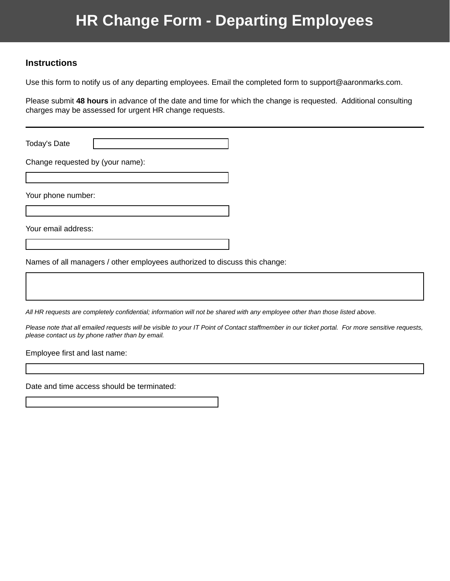## **HR Change Form - Departing Employees**

## **Instructions**

Use this form to notify us of any departing employees. Email the completed form to support@aaronmarks.com.

Please submit **48 hours** in advance of the date and time for which the change is requested. Additional consulting charges may be assessed for urgent HR change requests.

Today's Date

Change requested by (your name):

Your phone number:

Your email address:

Names of all managers / other employees authorized to discuss this change:

*All HR requests are completely confidential; information will not be shared with any employee other than those listed above.* 

*Please note that all emailed requests will be visible to your IT Point of Contact staffmember in our ticket portal. For more sensitive requests, please contact us by phone rather than by email.*

Employee first and last name:

Date and time access should be terminated: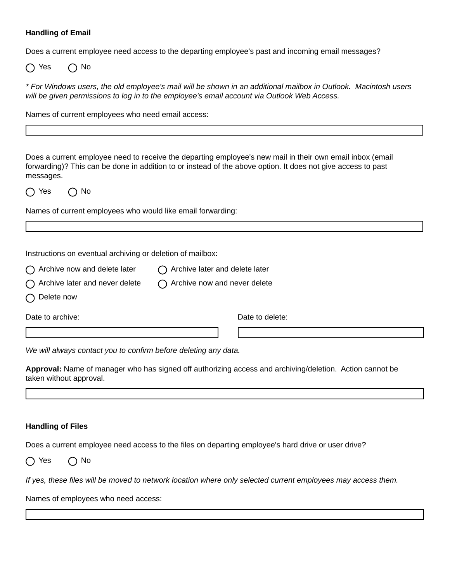## **Handling of Email**

Does a current employee need access to the departing employee's past and incoming email messages?

 $\bigcap$  Yes  $\bigcap$  No

*\* For Windows users, the old employee's mail will be shown in an additional mailbox in Outlook. Macintosh users will be given permissions to log in to the employee's email account via Outlook Web Access.*

Names of current employees who need email access:

Does a current employee need to receive the departing employee's new mail in their own email inbox (email forwarding)? This can be done in addition to or instead of the above option. It does not give access to past messages.

 $\bigcap$  Yes  $\bigcap$  No

Names of current employees who would like email forwarding:

Instructions on eventual archiving or deletion of mailbox:

- $\bigcap$  Archive now and delete later  $\bigcap$  Archive later and delete later
- $\bigcap$  Archive later and never delete  $\bigcap$  Archive now and never delete
- $\bigcap$  Delete now

Date to archive:  $\Box$  Date to delete:

*We will always contact you to confirm before deleting any data.*

**Approval:** Name of manager who has signed off authorizing access and archiving/deletion. Action cannot be taken without approval.

## **Handling of Files**

Does a current employee need access to the files on departing employee's hard drive or user drive?

 $\bigcap$  Yes  $\bigcap$  No

*If yes, these files will be moved to network location where only selected current employees may access them.*

Names of employees who need access: